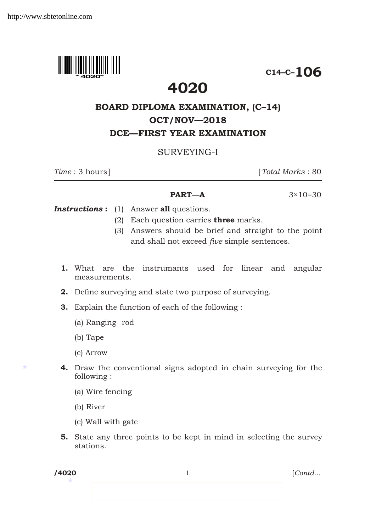

**C14–C–106**

# **4020**

## **Board Diploma Examination, (C–14) OCT/NOV—2018 dce—first year Examination**

### surveying-i

*Time* : 3 hours] [*Total Marks* : 80

**PART—A**  $3 \times 10 = 30$ 

*Instructions* **:** (1) Answer **all** questions.

- (2) Each question carries **three** marks.
- (3) Answers should be brief and straight to the point and shall not exceed *five* simple sentences.
- **1.** What are the instrumants used for linear and angular measurements.
- **2.** Define surveying and state two purpose of surveying.
- **3.** Explain the function of each of the following :
	- (a) Ranging rod
	- (b) Tape
	- (c) Arrow
- **4.** Draw the conventional signs adopted in chain surveying for the following :
	- (a) Wire fencing
	- (b) River
	- (c) Wall with gate
- **5.** State any three points to be kept in mind in selecting the survey stations.

\*

\*

**/4020** 1 [*Contd*...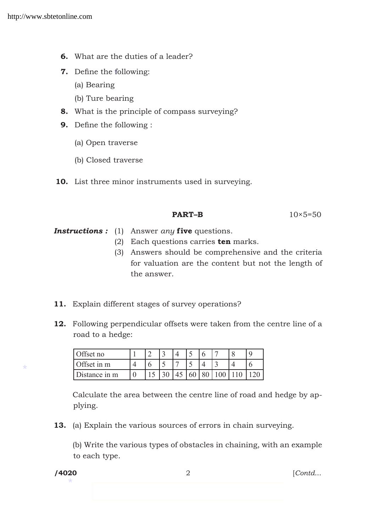- **6.** What are the duties of a leader?
- **7.** Define the following:
	- (a) Bearing
	- (b) Ture bearing
- **8.** What is the principle of compass surveying?
- **9.** Define the following :
	- (a) Open traverse
	- (b) Closed traverse
- **10.** List three minor instruments used in surveying.

#### **PART–B** 10×5=50

*Instructions :* (1) Answer *any* **five** questions.

- (2) Each questions carries **ten** marks.
- (3) Answers should be comprehensive and the criteria for valuation are the content but not the length of the answer.
- **11.** Explain different stages of survey operations?
- **12.** Following perpendicular offsets were taken from the centre line of a road to a hedge:

| $\bigcap_{i=1}^n$ |  |  |  |  |  |
|-------------------|--|--|--|--|--|
| Offset in m       |  |  |  |  |  |
| Distance in m     |  |  |  |  |  |

Calculate the area between the centre line of road and hedge by applying.

**13.** (a) Explain the various sources of errors in chain surveying.

(b) Write the various types of obstacles in chaining, with an example to each type.

\*

\*

**/4020** 2 [*Contd*...